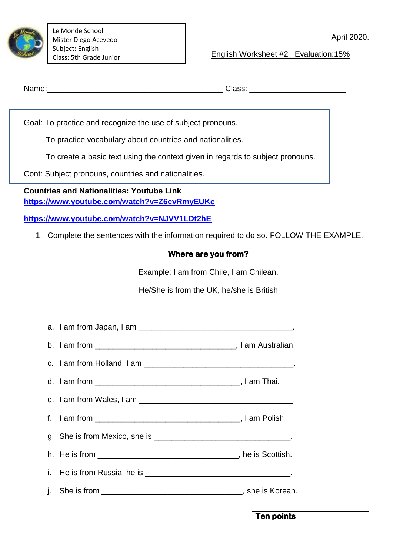

Le Monde School Mister Diego Acevedo Subject: English Class: 5th Grade Junior

English Worksheet #2 Evaluation:15%

**Ten points** 

Name:\_\_\_\_\_\_\_\_\_\_\_\_\_\_\_\_\_\_\_\_\_\_\_\_\_\_\_\_\_\_\_\_\_\_\_\_\_\_\_\_ Class: \_\_\_\_\_\_\_\_\_\_\_\_\_\_\_\_\_\_\_\_\_\_

Goal: To practice and recognize the use of subject pronouns.

To practice vocabulary about countries and nationalities.

To create a basic text using the context given in regards to subject pronouns.

Cont: Subject pronouns, countries and nationalities.

**Countries and Nationalities: Youtube Link <https://www.youtube.com/watch?v=Z6cvRmyEUKc>**

**<https://www.youtube.com/watch?v=NJVV1LDt2hE>**

1. Complete the sentences with the information required to do so. FOLLOW THE EXAMPLE.

## **Where are you from?**

Example: I am from Chile, I am Chilean.

He/She is from the UK, he/she is British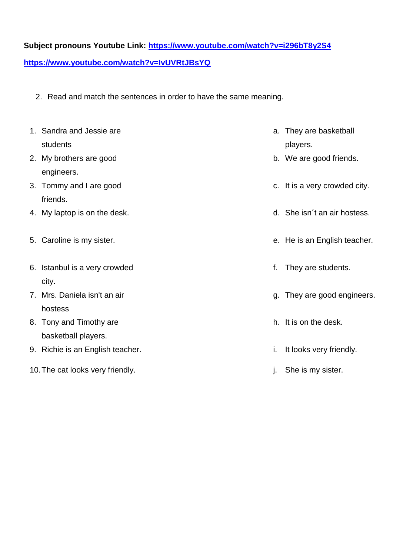## **Subject pronouns Youtube Link:<https://www.youtube.com/watch?v=i296bT8y2S4>**

**<https://www.youtube.com/watch?v=IvUVRtJBsYQ>**

2. Read and match the sentences in order to have the same meaning.

|                                  | 1. Sandra and Jessie are<br>students |    | a. They are basketball<br>players. |
|----------------------------------|--------------------------------------|----|------------------------------------|
|                                  | 2. My brothers are good              |    | b. We are good friends.            |
|                                  | engineers.                           |    |                                    |
|                                  | 3. Tommy and I are good              |    | c. It is a very crowded city.      |
|                                  | friends.                             |    |                                    |
|                                  | 4. My laptop is on the desk.         |    | d. She isn't an air hostess.       |
|                                  | 5. Caroline is my sister.            |    | e. He is an English teacher.       |
|                                  | 6. Istanbul is a very crowded        | f. | They are students.                 |
|                                  | city.                                |    |                                    |
|                                  | 7. Mrs. Daniela isn't an air         |    | g. They are good engineers.        |
|                                  | hostess                              |    |                                    |
|                                  | 8. Tony and Timothy are              |    | h. It is on the desk.              |
|                                  | basketball players.                  |    |                                    |
|                                  | 9. Richie is an English teacher.     | i. | It looks very friendly.            |
| 10. The cat looks very friendly. |                                      |    | j. She is my sister.               |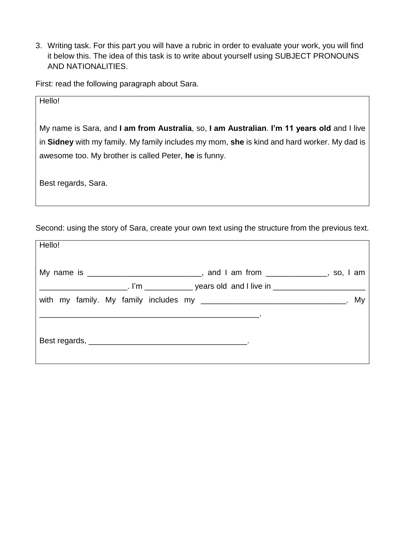3. Writing task. For this part you will have a rubric in order to evaluate your work, you will find it below this. The idea of this task is to write about yourself using SUBJECT PRONOUNS AND NATIONALITIES.

First: read the following paragraph about Sara.

| Hello!                                                                                      |  |  |  |  |
|---------------------------------------------------------------------------------------------|--|--|--|--|
| My name is Sara, and I am from Australia, so, I am Australian. I'm 11 years old and I live  |  |  |  |  |
| in Sidney with my family. My family includes my mom, she is kind and hard worker. My dad is |  |  |  |  |
| awesome too. My brother is called Peter, he is funny.                                       |  |  |  |  |
| Best regards, Sara.                                                                         |  |  |  |  |

Second: using the story of Sara, create your own text using the structure from the previous text.

| Hello! |                                                                                     |  |
|--------|-------------------------------------------------------------------------------------|--|
|        | My name is ________________________________, and I am from ______________, so, I am |  |
|        |                                                                                     |  |
|        |                                                                                     |  |
|        |                                                                                     |  |
|        |                                                                                     |  |